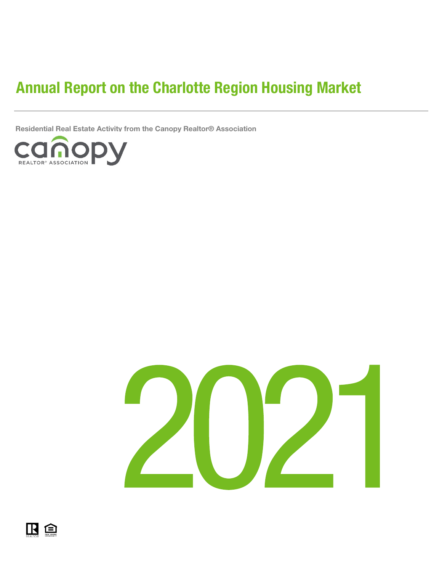# Annual Report on the Charlotte Region Housing Market

Residential Real Estate Activity from the Canopy Realtor® Association





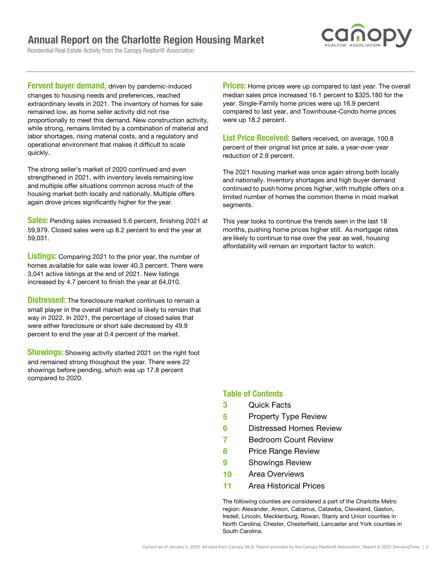## Annual Report on the Charlotte Region Housing Market

Residential Real Estate Activity from the Canopy Realtor® Association



**Fervent buyer demand, driven by pandemic-induced** changes to housing needs and preferences, reached extraordinary levels in 2021. The inventory of homes for sale remained low, as home seller activity did not rise proportionally to meet this demand. New construction activity, while strong, remains limited by a combination of material and labor shortages, rising material costs, and a regulatory and operational environment that makes it difficult to scale quickly.

The strong seller's market of 2020 continued and even strengthened in 2021, with inventory levels remaining low and multiple offer situations common across much of the housing market both locally and nationally. Multiple offers again drove prices significantly higher for the year.  

**Sales:** Pending sales increased 5.6 percent, finishing 2021 at 59,979. Closed sales were up 8.2 percent to end the year at 59,031.

Listings: Comparing 2021 to the prior year, the number of homes available for sale was lower 40.3 percent. There were 3,041 active listings at the end of 2021. New listings increased by 4.7 percent to finish the year at 64,010.

**Distressed:** The foreclosure market continues to remain a small player in the overall market and is likely to remain that way in 2022. In 2021, the percentage of closed sales that were either foreclosure or short sale decreased by 49.9 percent to end the year at 0.4 percent of the market.

**Showings:** Showing activity started 2021 on the right foot and remained strong thoughout the year. There were 22 showings before pending, which was up 17.8 percent compared to 2020.

**Prices:** Home prices were up compared to last year. The overall median sales price increased 16.1 percent to \$325,180 for the year. Single-Family home prices were up 16.9 percent compared to last year, and Townhouse-Condo home prices were up 18.2 percent.

List Price Received: Sellers received, on average, 100.8 percent of their original list price at sale, a year-over-year reduction of 2.9 percent.

The 2021 housing market was once again strong both locally and nationally. Inventory shortages and high buyer demand continued to push home prices higher, with multiple offers on a limited number of homes the common theme in most market segments.  

This year looks to continue the trends seen in the last 18 months, pushing home prices higher still. As mortgage rates are likely to continue to rise over the year as well, housing affordability will remain an important factor to watch.

## Table of Contents

- 3 Quick Facts
- 5 Property Type Review
- 6 Distressed Homes Review
- 7 Bedroom Count Review
- 8 Price Range Review
- **9** Showings Review
- 10 Area Overviews
- 11 Area Historical Prices

The following counties are considered a part of the Charlotte Metro region: Alexander, Anson, Cabarrus, Catawba, Cleveland, Gaston, Iredell, Lincoln, Mecklenburg, Rowan, Stanly and Union counties in North Carolina; Chester, Chesterfield, Lancaster and York counties in South Carolina.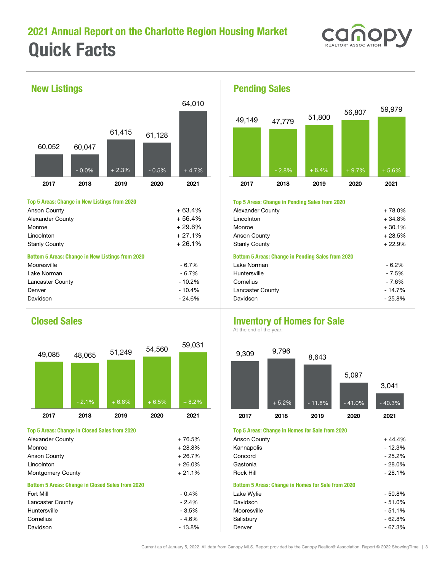# 2021 Annual Report on the Charlotte Region Housing Market Quick Facts





### Anson County + 63.4% Alexander County + 78.0% Alexander County  $+ 56.4\%$ Monroe + 29.6% Monroe + 30.1% Lincolnton + 27.1% Anson County + 28.5% Stanly County the standard of the standard of the standard of the Standard Stanly County the standard of the standard of the standard of the standard of the standard of the standard of the standard of the standard of the s Mooresville - 6.7% Lake Norman - 6.2% Lake Norman  $-6.7\%$  Huntersville - 7.5% Huntersville - 7.5% Lancaster County **County** - 70.2% Denver **14.7%** Lancaster County - 10.4% Lancaster County **14.7%** Davidson - 24.6% Davidson - 25.8% Bottom 5 Areas: Change in New Listings from 2020 Top 5 Areas: Change in New Listings from 2020



| $-12.3%$ |
|----------|
|          |
| $-25.2%$ |
| $-28.0%$ |
| $-28.1%$ |
|          |
| $-50.8%$ |
| $-51.0%$ |
| $-51.1%$ |
| $-62.8%$ |
| $-67.3%$ |
|          |

Pending Sales



### Top 5 Areas: Change in Pending Sales from 2020

| Alexander County                                         | $+78.0%$ |
|----------------------------------------------------------|----------|
| Lincolnton                                               | $+34.8%$ |
| Monroe                                                   | $+30.1%$ |
| Anson County                                             | $+28.5%$ |
| <b>Stanly County</b>                                     | $+22.9%$ |
| <b>Bottom 5 Areas: Change in Pending Sales from 2020</b> |          |
| Lake Norman                                              | $-6.2%$  |
| Huntersville                                             | $-7.5%$  |
| Cornelius                                                | $-7.6%$  |
| Lancaster County                                         | $-14.7%$ |
| Davidson                                                 | $-25.8%$ |
|                                                          |          |

## **Closed Sales Inventory of Homes for Sale**

At the end of the year.



### Top 5 Areas: Change in Closed Sales from 2020 Top 5 Areas: Change in Homes for Sale from 2020

| Anson County                                              | $+44.4%$ |
|-----------------------------------------------------------|----------|
| Kannapolis                                                | $-12.3%$ |
| Concord                                                   | $-25.2%$ |
| Gastonia                                                  | $-28.0%$ |
| Rock Hill                                                 | $-28.1%$ |
| <b>Bottom 5 Areas: Change in Homes for Sale from 2020</b> |          |
| Lake Wylie                                                | $-50.8%$ |
| Davidson                                                  | $-51.0%$ |
| Mooresville                                               | $-51.1%$ |
| Salisbury                                                 | $-62.8%$ |
| Denver                                                    | $-67.3%$ |
|                                                           |          |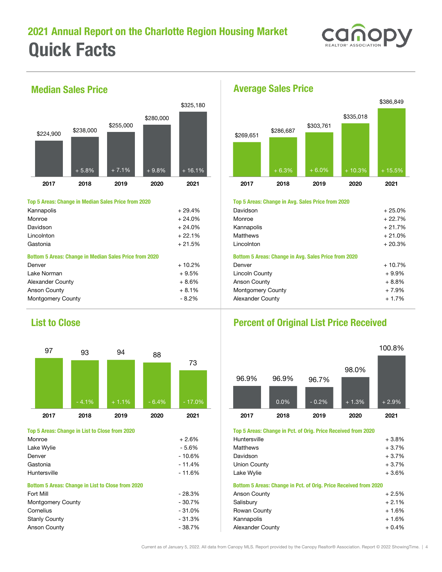



### Top 5 Areas: Change in Median Sales Price from 2020 **Top 5 Areas: Change in Avg. Sales Price from 2020**

| Kannapolis                                                    | $+29.4%$ | <b>Davidson</b>                                      | $+25.0%$ |
|---------------------------------------------------------------|----------|------------------------------------------------------|----------|
| Monroe                                                        | $+24.0%$ | Monroe                                               | $+22.7%$ |
| Davidson                                                      | $+24.0%$ | Kannapolis                                           | $+21.7%$ |
| Lincolnton                                                    | $+22.1%$ | Matthews                                             | $+21.0%$ |
| Gastonia                                                      | $+21.5%$ | Lincolnton                                           | $+20.3%$ |
| <b>Bottom 5 Areas: Change in Median Sales Price from 2020</b> |          | Bottom 5 Areas: Change in Avg. Sales Price from 2020 |          |
| Denver                                                        | $+10.2%$ | Denver                                               | $+10.7%$ |
| Lake Norman                                                   | $+9.5%$  | Lincoln County                                       | $+9.9\%$ |
| Alexander County                                              | $+8.6%$  | Anson County                                         | $+8.8%$  |
| Anson County                                                  | $+8.1%$  | <b>Montgomery County</b>                             | + 7.9%   |
| Montgomery County                                             | $-8.2\%$ | Alexander County                                     | $+1.7\%$ |



| Monroe                                            | $+2.6%$  | Huntersville                                                     | $+3.8%$ |
|---------------------------------------------------|----------|------------------------------------------------------------------|---------|
| Lake Wylie                                        | $-5.6%$  | Matthews                                                         | $+3.7%$ |
| Denver                                            | $-10.6%$ | Davidson                                                         | $+3.7%$ |
| Gastonia                                          | $-11.4%$ | Union County                                                     | $+3.7%$ |
| Huntersville                                      | $-11.6%$ | Lake Wylie                                                       | $+3.6%$ |
| Bottom 5 Areas: Change in List to Close from 2020 |          | Bottom 5 Areas: Change in Pct. of Orig. Price Received from 2020 |         |
| Fort Mill                                         | $-28.3%$ | Anson County                                                     | $+2.5%$ |
| Montgomery County                                 | $-30.7%$ | Salisbury                                                        | $+2.1%$ |
| Cornelius                                         | $-31.0%$ | Rowan County                                                     | $+1.6%$ |
| <b>Stanly County</b>                              | $-31.3%$ | Kannapolis                                                       | $+1.6%$ |
| Anson County                                      | $-38.7%$ | Alexander County                                                 | $+0.4%$ |



| Kannapolis                                                    | $+29.4%$ | Davidson                                             | $+25.0%$ |
|---------------------------------------------------------------|----------|------------------------------------------------------|----------|
| Monroe                                                        | $+24.0%$ | Monroe                                               | $+22.7%$ |
| Davidson                                                      | $+24.0%$ | Kannapolis                                           | $+21.7%$ |
| Lincolnton                                                    | $+22.1%$ | <b>Matthews</b>                                      | $+21.0%$ |
| Gastonia                                                      | $+21.5%$ | Lincolnton                                           | $+20.3%$ |
| <b>Bottom 5 Areas: Change in Median Sales Price from 2020</b> |          | Bottom 5 Areas: Change in Avg. Sales Price from 2020 |          |
| Denver                                                        | $+10.2%$ | Denver                                               | + 10.7%  |
| Lake Norman                                                   | $+9.5%$  | Lincoln County                                       | $+9.9%$  |
| Alexander County                                              | $+8.6%$  | Anson County                                         | $+8.8%$  |
| Anson County                                                  | $+8.1%$  | Montgomery County                                    | $+7.9%$  |
| Montgomery County                                             | - 8.2%   | Alexander County                                     | $+1.7%$  |
|                                                               |          |                                                      |          |

## List to Close Percent of Original List Price Received



### Top 5 Areas: Change in List to Close from 2020 Top 5 Areas: Change in Pct. of Orig. Price Received from 2020

| Huntersville                                                     | $+3.8%$ |
|------------------------------------------------------------------|---------|
| Matthews                                                         | $+3.7%$ |
| Davidson                                                         | $+3.7%$ |
| Union County                                                     | $+3.7%$ |
| Lake Wylie                                                       | $+3.6%$ |
| Bottom 5 Areas: Change in Pct. of Orig. Price Received from 2020 |         |
| Anson County                                                     | $+2.5%$ |
| Salisbury                                                        | $+2.1%$ |
| Rowan County                                                     | $+1.6%$ |
| Kannapolis                                                       | $+1.6%$ |
| Alexander County                                                 | $+0.4%$ |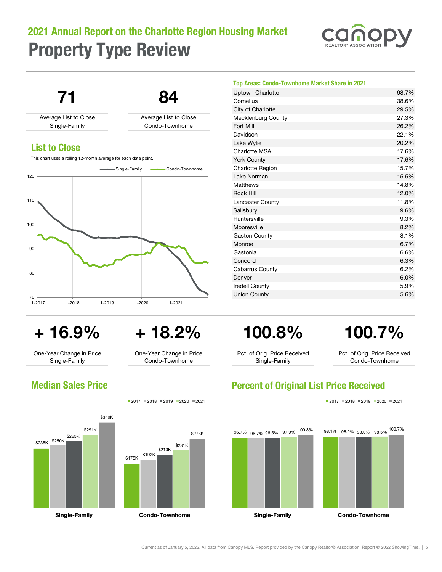# 2021 Annual Report on the Charlotte Region Housing Market Property Type Review



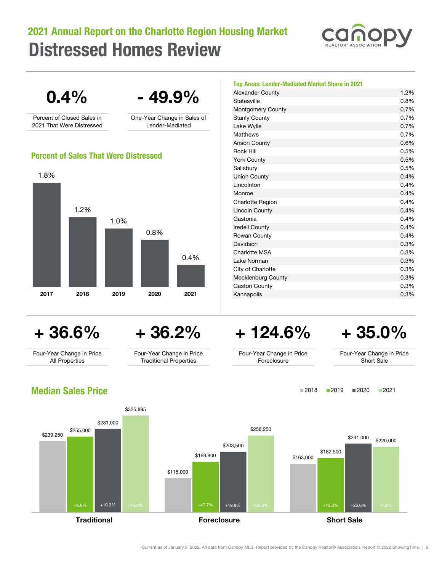# Distressed Homes Review 2021 Annual Report on the Charlotte Region Housing Market



2018 2019 2020 2021



## Median Sales Price



Current as of January 5, 2022. All data from Canopy MLS. Report provided by the Canopy Realtor® Association. Report © 2022 ShowingTime. | 6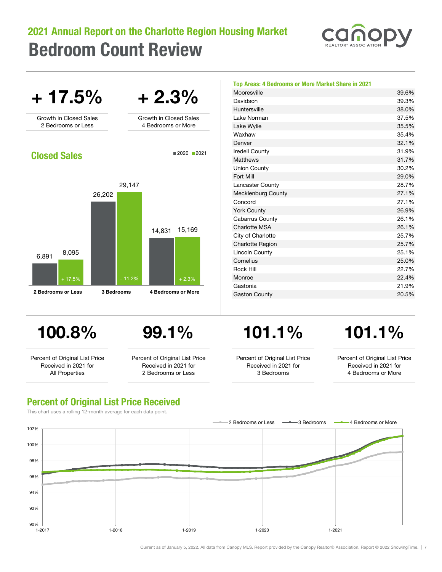## 2021 Annual Report on the Charlotte Region Housing Market Bedroom Count Review





| Top Areas: 4 Bedrooms or More Market Share in 2021 |       |
|----------------------------------------------------|-------|
| Mooresville                                        | 39.6% |
| Davidson                                           | 39.3% |
| Huntersville                                       | 38.0% |
| Lake Norman                                        | 37.5% |
| Lake Wylie                                         | 35.5% |
| Waxhaw                                             | 35.4% |
| Denver                                             | 32.1% |
| <b>Iredell County</b>                              | 31.9% |
| Matthews                                           | 31.7% |
| <b>Union County</b>                                | 30.2% |
| Fort Mill                                          | 29.0% |
| Lancaster County                                   | 28.7% |
| Mecklenburg County                                 | 27.1% |
| Concord                                            | 27.1% |
| <b>York County</b>                                 | 26.9% |
| Cabarrus County                                    | 26.1% |
| Charlotte MSA                                      | 26.1% |
| City of Charlotte                                  | 25.7% |
| <b>Charlotte Region</b>                            | 25.7% |
| Lincoln County                                     | 25.1% |
| Cornelius                                          | 25.0% |
| <b>Rock Hill</b>                                   | 22.7% |
| Monroe                                             | 22.4% |
| Gastonia                                           | 21.9% |
| <b>Gaston County</b>                               | 20.5% |

Percent of Original List Price Received in 2021 for All Properties

Percent of Original List Price Received in 2021 for 2 Bedrooms or Less

# 100.8% 99.1% 101.1% 101.1%

Percent of Original List Price Received in 2021 for 3 Bedrooms

Percent of Original List Price Received in 2021 for 4 Bedrooms or More

## Percent of Original List Price Received

This chart uses a rolling 12-month average for each data point.



Current as of January 5, 2022. All data from Canopy MLS. Report provided by the Canopy Realtor® Association. Report © 2022 ShowingTime. | 7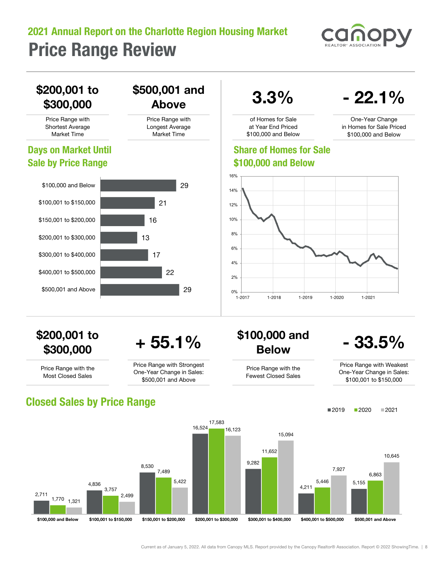# 2021 Annual Report on the Charlotte Region Housing Market Price Range Review



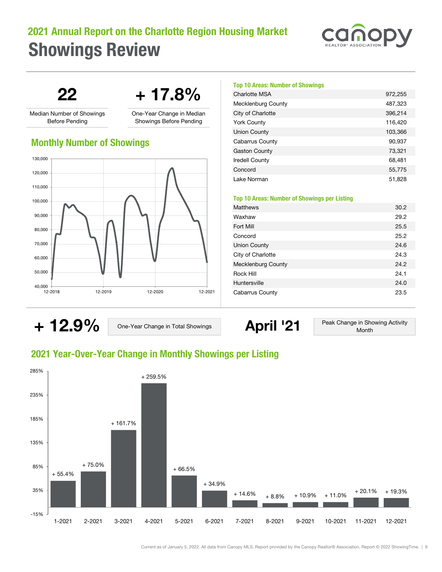# 2021 Annual Report on the Charlotte Region Housing Market Showings Review



 $22 + 17.8%$ 

Median Number of Showings Before Pending

One-Year Change in Median Showings Before Pending

## Monthly Number of Showings



### Top 10 Areas: Number of Showings

| <b>Charlotte MSA</b>      | 972,255 |
|---------------------------|---------|
| <b>Mecklenburg County</b> | 487,323 |
| City of Charlotte         | 396,214 |
| <b>York County</b>        | 116,420 |
| Union County              | 103,366 |
| Cabarrus County           | 90,937  |
| <b>Gaston County</b>      | 73,321  |
| <b>Iredell County</b>     | 68,481  |
| Concord                   | 55,775  |
| Lake Norman               | 51,828  |

### Top 10 Areas: Number of Showings per Listing

| <b>Matthews</b>           | 30.2 |
|---------------------------|------|
| Waxhaw                    | 29.2 |
| Fort Mill                 | 25.5 |
| Concord                   | 25.2 |
| Union County              | 24.6 |
| City of Charlotte         | 24.3 |
| <b>Mecklenburg County</b> | 24.2 |
| Rock Hill                 | 24.1 |
| Huntersville              | 24.0 |
| <b>Cabarrus County</b>    | 23.5 |

+ 12.9% One-Year Change in Total Showings April '21 Peak Change in Showing Activity Month

## 2021 Year-Over-Year Change in Monthly Showings per Listing



Current as of January 5, 2022. All data from Canopy MLS. Report provided by the Canopy Realtor® Association. Report © 2022 ShowingTime. | 9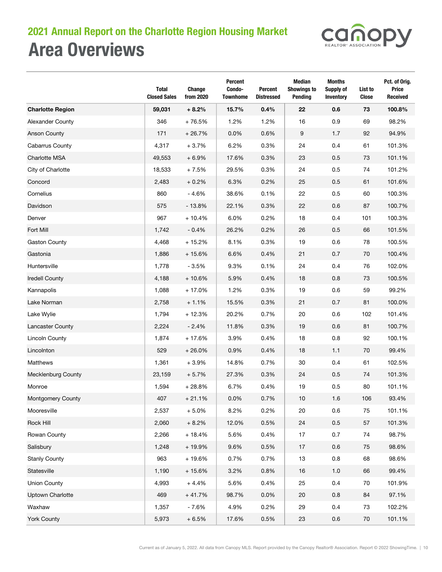# Area Overviews 2021 Annual Report on the Charlotte Region Housing Market



|                           | Total<br><b>Closed Sales</b> | Change<br>from 2020 | Percent<br>Condo-<br><b>Townhome</b> | <b>Percent</b><br><b>Distressed</b> | Median<br><b>Showings to</b><br>Pending | <b>Months</b><br>Supply of<br><b>Inventory</b> | List to<br>Close | Pct. of Orig.<br><b>Price</b><br><b>Received</b> |
|---------------------------|------------------------------|---------------------|--------------------------------------|-------------------------------------|-----------------------------------------|------------------------------------------------|------------------|--------------------------------------------------|
| <b>Charlotte Region</b>   | 59,031                       | $+8.2%$             | 15.7%                                | 0.4%                                | 22                                      | 0.6                                            | 73               | 100.8%                                           |
| Alexander County          | 346                          | $+76.5%$            | 1.2%                                 | 1.2%                                | 16                                      | 0.9                                            | 69               | 98.2%                                            |
| <b>Anson County</b>       | 171                          | $+26.7%$            | 0.0%                                 | 0.6%                                | 9                                       | 1.7                                            | 92               | 94.9%                                            |
| Cabarrus County           | 4,317                        | $+3.7%$             | 6.2%                                 | 0.3%                                | 24                                      | 0.4                                            | 61               | 101.3%                                           |
| Charlotte MSA             | 49,553                       | $+6.9%$             | 17.6%                                | 0.3%                                | 23                                      | 0.5                                            | 73               | 101.1%                                           |
| City of Charlotte         | 18,533                       | $+7.5%$             | 29.5%                                | 0.3%                                | 24                                      | 0.5                                            | 74               | 101.2%                                           |
| Concord                   | 2,483                        | $+0.2%$             | 6.3%                                 | 0.2%                                | 25                                      | 0.5                                            | 61               | 101.6%                                           |
| Cornelius                 | 860                          | $-4.6%$             | 38.6%                                | 0.1%                                | 22                                      | 0.5                                            | 60               | 100.3%                                           |
| Davidson                  | 575                          | $-13.8%$            | 22.1%                                | 0.3%                                | 22                                      | 0.6                                            | 87               | 100.7%                                           |
| Denver                    | 967                          | $+10.4%$            | 6.0%                                 | 0.2%                                | 18                                      | 0.4                                            | 101              | 100.3%                                           |
| Fort Mill                 | 1,742                        | $-0.4%$             | 26.2%                                | 0.2%                                | 26                                      | 0.5                                            | 66               | 101.5%                                           |
| <b>Gaston County</b>      | 4,468                        | $+15.2%$            | 8.1%                                 | 0.3%                                | 19                                      | 0.6                                            | 78               | 100.5%                                           |
| Gastonia                  | 1,886                        | $+15.6%$            | 6.6%                                 | 0.4%                                | 21                                      | 0.7                                            | 70               | 100.4%                                           |
| Huntersville              | 1,778                        | $-3.5%$             | 9.3%                                 | 0.1%                                | 24                                      | 0.4                                            | 76               | 102.0%                                           |
| <b>Iredell County</b>     | 4,188                        | $+10.6%$            | 5.9%                                 | 0.4%                                | 18                                      | 0.8                                            | 73               | 100.5%                                           |
| Kannapolis                | 1,088                        | $+17.0%$            | 1.2%                                 | 0.3%                                | 19                                      | 0.6                                            | 59               | 99.2%                                            |
| Lake Norman               | 2,758                        | $+1.1%$             | 15.5%                                | 0.3%                                | 21                                      | 0.7                                            | 81               | 100.0%                                           |
| Lake Wylie                | 1,794                        | $+12.3%$            | 20.2%                                | 0.7%                                | 20                                      | 0.6                                            | 102              | 101.4%                                           |
| Lancaster County          | 2,224                        | $-2.4%$             | 11.8%                                | 0.3%                                | 19                                      | 0.6                                            | 81               | 100.7%                                           |
| <b>Lincoln County</b>     | 1,874                        | + 17.6%             | 3.9%                                 | 0.4%                                | 18                                      | 0.8                                            | 92               | 100.1%                                           |
| Lincolnton                | 529                          | $+26.0%$            | 0.9%                                 | 0.4%                                | 18                                      | 1.1                                            | 70               | 99.4%                                            |
| Matthews                  | 1,361                        | $+3.9%$             | 14.8%                                | 0.7%                                | 30                                      | 0.4                                            | 61               | 102.5%                                           |
| <b>Mecklenburg County</b> | 23,159                       | $+5.7%$             | 27.3%                                | 0.3%                                | 24                                      | 0.5                                            | 74               | 101.3%                                           |
| Monroe                    | 1,594                        | $+28.8%$            | 6.7%                                 | 0.4%                                | 19                                      | 0.5                                            | 80               | 101.1%                                           |
| Montgomery County         | 407                          | $+21.1%$            | 0.0%                                 | 0.7%                                | 10                                      | 1.6                                            | 106              | 93.4%                                            |
| Mooresville               | 2,537                        | $+5.0%$             | 8.2%                                 | 0.2%                                | 20                                      | $0.6\,$                                        | 75               | 101.1%                                           |
| Rock Hill                 | 2,060                        | $+8.2%$             | 12.0%                                | 0.5%                                | 24                                      | $0.5\,$                                        | 57               | 101.3%                                           |
| Rowan County              | 2,266                        | $+18.4%$            | 5.6%                                 | 0.4%                                | 17                                      | 0.7                                            | 74               | 98.7%                                            |
| Salisbury                 | 1,248                        | + 19.9%             | 9.6%                                 | 0.5%                                | 17                                      | $0.6\,$                                        | 75               | 98.6%                                            |
| <b>Stanly County</b>      | 963                          | $+19.6%$            | 0.7%                                 | 0.7%                                | $13$                                    | $0.8\,$                                        | 68               | 98.6%                                            |
| Statesville               | 1,190                        | $+15.6%$            | 3.2%                                 | 0.8%                                | 16                                      | $1.0$                                          | 66               | 99.4%                                            |
| <b>Union County</b>       | 4,993                        | $+4.4%$             | 5.6%                                 | 0.4%                                | 25                                      | 0.4                                            | 70               | 101.9%                                           |
| <b>Uptown Charlotte</b>   | 469                          | $+41.7%$            | 98.7%                                | 0.0%                                | 20                                      | 0.8                                            | 84               | 97.1%                                            |
| Waxhaw                    | 1,357                        | $-7.6%$             | 4.9%                                 | 0.2%                                | 29                                      | 0.4                                            | 73               | 102.2%                                           |
| York County               | 5,973                        | $+6.5%$             | 17.6%                                | 0.5%                                | 23                                      | $0.6\,$                                        | $70\,$           | 101.1%                                           |